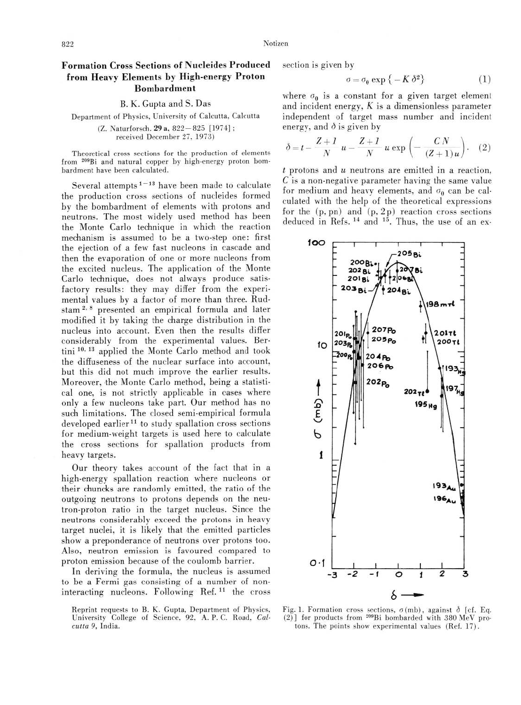## 822 Notizen

## Formation Cross Sections of Nucleides Produced from Heavy Elements by High-energy Proton Bombardment

B. K. Gupta and S. Das

Department of Physics, University of Calcutta, Calcutta (Z. Naturforsch. 29 a, 822 — 825 [1974] ; received December 27, 1973)

Theoretical cross sections for the production of elements from 209Bi and natural copper by high-energy proton bombardment have been calculated.

Several attempts<sup> $1-13$ </sup> have been made to calculate the production cross sections of nucleides formed by the bombardment of elements with protons and neutrons. The most widely used method has been the Monte Carlo technique in which the reaction mechanism is assumed to be a two-step one: first the ejection of a few fast nucleons in cascade and then the evaporation of one or more nucleons from the excited nucleus. The application of the Monte Carlo technique, does not always produce satisfactory results: they may differ from the experimental values by a factor of more than three. Rudstam<sup>2, 8</sup> presented an empirical formula and later modified it by taking the charge distribution in the nucleus into account. Even then the results differ considerably from the experimental values. Bertini<sup>10, 13</sup> applied the Monte Carlo method and took the diffuseness of the nuclear surface into account, but this did not much improve the earlier results. Moreover, the Monte Carlo method, being a statistical one, is not strictly applicable in cases where only a few nucleons take part. Our method has no such limitations. The closed semi-empirical formula developed earlier<sup>11</sup> to study spallation cross sections for medium-weight targets is used here to calculate the cross sections for spallation products from heavy targets.

Our theory takes account of the fact that in a high-energy spallation reaction where nucleons or their chuncks are randomly emitted, the ratio of the outgoing neutrons to protons depends on the neutron-proton ratio in the target nucleus. Since the neutrons considerably exceed the protons in heavy target nuclei, it is likely that the emitted particles show a preponderance of neutrons over protons too. Also, neutron emission is favoured compared to proton emission because of the coulomb barrier.

In deriving the formula, the nucleus is assumed to be a Fermi gas consisting of a number of noninteracting nucleons. Following Ref.11 the cross

section is given by

$$
\sigma = \sigma_0 \exp\left\{-K \delta^2\right\} \tag{1}
$$

where  $\sigma_0$  is a constant for a given target element and incident energy,  $K$  is a dimensionless parameter independent of target mass number and incident energy, and  $\delta$  is given by

$$
\delta = t - \frac{Z+1}{N} u - \frac{Z+1}{N} u \exp\left(-\frac{CN}{(Z+1)u}\right). (2)
$$

 $t$  protons and  $u$  neutrons are emitted in a reaction,  $C$  is a non-negative parameter having the same value for medium and heavy elements, and  $\sigma_0$  can be calculated with the help of the theoretical expressions for the  $(p, pn)$  and  $(p, 2p)$  reaction cross sections deduced in Refs. 14 and 15. Thus, the use of an ex-



Fig. 1. Formation cross sections,  $\sigma$ (mb), against  $\delta$  [cf. Eq. (2)] for products from 209Bi bombarded with 380 MeV protons. The points show experimental values (Ref. 17).

Reprint requests to B. K. Gupta. Department of Physics, University College of Science, 92, A. P. C. Road, Calcutta 9, India.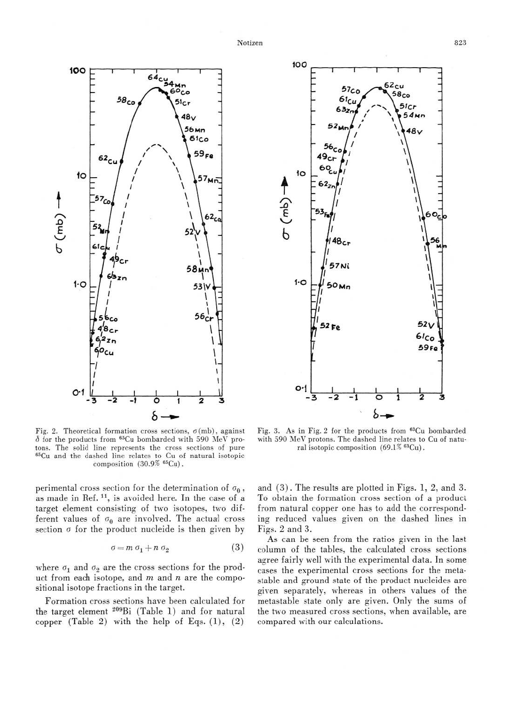



Fig. 2. Theoretical formation cross sections,  $\sigma$ (mb), against  $\delta$  for the products from <sup>65</sup>Cu bombarded with 590 MeV protons. The solid line represents the cross sections of pure 65Cu and the dashed line relates to Cu of natural isotopic composition  $(30.9\%~^{65}Cu)$ .

perimental cross section for the determination of  $\sigma_0$ , as made in Ref.<sup>11</sup>, is avoided here. In the case of a target element consisting of two isotopes, two different values of  $\sigma_0$  are involved. The actual cross section  $\sigma$  for the product nucleide is then given by

$$
\sigma = m \sigma_1 + n \sigma_2 \tag{3}
$$

where  $\sigma_1$  and  $\sigma_2$  are the cross sections for the product from each isotope, and  $m$  and  $n$  are the compositional isotope fractions in the target.

Formation cross sections have been calculated for the target element 209Bi (Table 1) and for natural copper (Table 2) with the help of Eqs.  $(1)$ ,  $(2)$ 

Fig. 3. As in Fig. 2 for the products from 63Cu bombarded with 590 MeV protons. The dashed line relates to Cu of natural isotopic composition (69.1% 63Cu).

and  $(3)$ . The results are plotted in Figs. 1, 2, and 3. To obtain the formation cross section of a product from natural copper one has to add the corresponding reduced values given on the dashed lines in Figs. 2 and 3.

As can be seen from the ratios given in the last column of the tables, the calculated cross sections agree fairly well with the experimental data. In some cases the experimental cross sections for the metastable and ground state of the product nucleides are given separately, whereas in others values of the metastable state only are given. Only the sums of the two measured cross sections, when available, are compared with our calculations.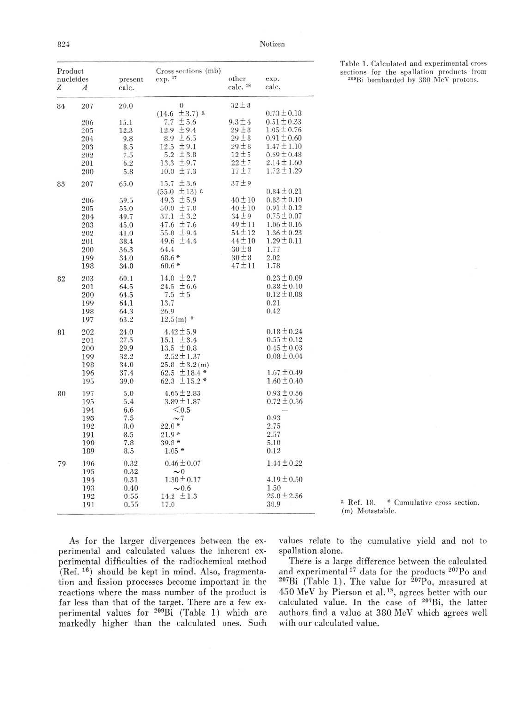824 Notizen

| Product<br>nucleides |                  |                  | Cross sections (mb)  |                              |                 |
|----------------------|------------------|------------------|----------------------|------------------------------|-----------------|
| Z                    | $\boldsymbol{A}$ | present<br>calc. | exp. 17              | other<br>calc. <sup>18</sup> | exp.<br>calc.   |
| 84                   | 207              | 20.0             | $\theta$             | $32 \pm 8$                   |                 |
|                      |                  |                  | $± 3.7)$ a<br>(14.6) |                              | $0.73 \pm 0.18$ |
|                      | 206              | 15.1             | $7.7 \pm 5.6$        | $9.3 \pm 4$                  | $0.51 \pm 0.33$ |
|                      | 205              | 12.3             | 12.9<br>±9.4         | $29 \pm 8$                   | $1.05 \pm 0.76$ |
|                      | 204              | 9.8              | 8.9 $\pm 6.5$        | $29 \pm 8$                   | $0.91 \pm 0.60$ |
|                      | 203              | 8.5              | ±9.1<br>12.5         | $29 \pm 8$                   | $1.47 \pm 1.10$ |
|                      | 202              | 7.5              | 5.2 $\pm 3.8$        | $12 \pm 5$                   | $0.69 \pm 0.48$ |
|                      | 201              | 6.2              | $13.3 \pm 9.7$       | $22 \pm 7$                   | $2.14 \pm 1.60$ |
|                      | 200              | 5.8              | $10.0 \pm 7.3$       | 17±7                         | $1.72 \pm 1.29$ |
| 83                   | 207              | 65.0             | ±3.6<br>15.7         | $37 + 9$                     |                 |
|                      |                  |                  | $(55.0 \pm 13)$ a    |                              | $0.84 \pm 0.21$ |
|                      | 206              | 59.5             | ± 5.9<br>49.3        | $40 \pm 10$                  | $0.83 \pm 0.10$ |
|                      | 205              | 55.0             | $50.0 \pm 7.0$       | $40 \pm 10$                  | $0.91 \pm 0.12$ |
|                      | 204              | 49.7             | ± 3.2<br>37.1        | $34 \pm 9$                   | $0.75 \pm 0.07$ |
|                      | 203              | 45.0             | 47.6 $± 7.6$         | $49 + 11$                    | $1.06 \pm 0.16$ |
|                      | 202              | 41.0             | $55.8 \pm 9.4$       | $54 + 12$                    | $1.36 \pm 0.23$ |
|                      | 201              | 38.4             | 49.6 $\pm 4.4$       | $44 \pm 10$                  | $1.29 \pm 0.11$ |
|                      | 200              | 36.3             | 64.4                 | $30 \pm 8$                   | 1.77            |
|                      | 199              | 34.0             | $68.6*$              | $30 \pm 8$                   | 2.02            |
|                      | 198              | 34.0             | $60.6*$              | $47 + 11$                    | 1.78            |
| 82                   | 203              | 60.1             | 14.0 $\pm 2.7$       |                              | $0.23 \pm 0.09$ |
|                      | 201              | 64.5             | 24.5 $\pm 6.6$       |                              | $0.38 \pm 0.10$ |
|                      | 200              | 64.5             | $+5$<br>7.5          |                              | $0.12 \pm 0.08$ |
|                      | 199              | 64.1             | 13.7                 |                              | 0.21            |
|                      | 198              | 64.3             | 26.9                 |                              | 0.42            |
|                      | 197              | 63.2             | $12.5(m)$ *          |                              |                 |
| 81                   | 202              | 24.0             | $4.42 \pm 5.9$       |                              | $0.18 \pm 0.24$ |
|                      | 201              | 27.5             | $15.1 \pm 3.4$       |                              | $0.55 \pm 0.12$ |
|                      | 200              | 29.9             | $13.5 \pm 0.8$       |                              | $0.45 \pm 0.03$ |
|                      | 199              | 32.2             | $2.52 \pm 1.37$      |                              | $0.08 \pm 0.04$ |
|                      | 198              | 34.0             | 25.8 $\pm 3.2$ (m)   |                              |                 |
|                      | 196              | 37.4             | 62.5 $\pm$ 18.4 *    |                              | $1.67 \pm 0.49$ |
|                      | 195              | 39.0             | 62.3 $\pm$ 15.2 $*$  |                              | $1.60 \pm 0.40$ |
| 80                   | 197              | 5.0              | $4.65 \pm 2.83$      |                              | $0.93 \pm 0.56$ |
|                      | 195              | 5.4              | $3.89 \pm 1.87$      |                              | $0.72 \pm 0.36$ |
|                      | 194              | 6.6              | < 0.5                |                              |                 |
|                      | 193              | 7.5              | $\sim$ 7             |                              | 0.93            |
|                      | 192              | 8.0              | $22.0*$              |                              | 2.75            |
|                      | 191              | 8.5              | $21.9*$              |                              | 2.57            |
|                      | 190              | 7.8              | $39.8*$              |                              | 5.10            |
|                      | 189              | 8.5              | $1.05*$              |                              | 0.12            |
| 79                   | 196              | 0.32             | $0.46 \pm 0.07$      |                              | $1.44 \pm 0.22$ |
|                      | 195              | 0.32             | $\sim 0$             |                              |                 |
|                      | 194              | 0.31             | $1.30 \pm 0.17$      |                              | $4.19 \pm 0.50$ |
|                      | 193              | 0.40             | $\sim 0.6$           |                              | 1.50            |
|                      | 192              | 0.55             | $14.2 \pm 1.3$       |                              | $25.8 \pm 2.56$ |
|                      | 191              | 0.55             | 17.0                 |                              | 30.9            |

a Ref. 18. \* Cumulative cross section, (m) Metastable.

As for the larger divergences between the experimental and calculated values the inherent experimental difficulties of the radiochemical method (Ref. 16) should be kept in mind. Also, fragmentation and fission processes become important in the reactions where the mass number of the product is far less than that of the target. There are a few experimental values for 209Bi (Table 1) which are markedly higher than the calculated ones. Such values relate to the cumulative yield and not to spallation alone.

There is a large difference between the calculated and experimental<sup>17</sup> data for the products <sup>207</sup>Po and <sup>207</sup>Bi (Table 1). The value for <sup>207</sup>Po, measured at 450 MeV by Pierson et al.18, agrees better with our calculated value. In the case of 207Bi, the latter authors find a value at 380 MeV which agrees well with our calculated value.